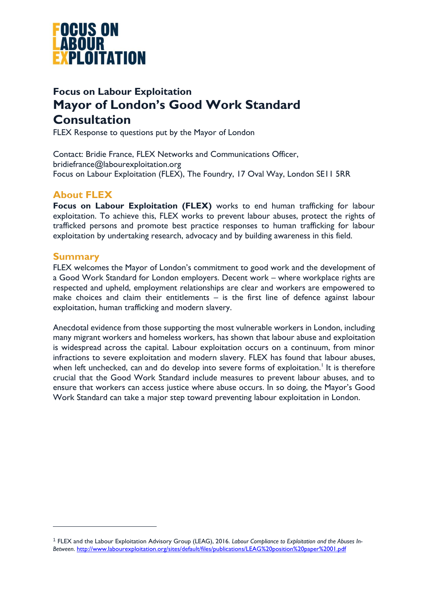

# **Focus on Labour Exploitation Mayor of London's Good Work Standard Consultation**

FLEX Response to questions put by the Mayor of London

Contact: Bridie France, FLEX Networks and Communications Officer, bridiefrance@labourexploitation.org Focus on Labour Exploitation (FLEX), The Foundry, 17 Oval Way, London SE11 5RR

# **About FLEX**

**Focus on Labour Exploitation (FLEX)** works to end human trafficking for labour exploitation. To achieve this, FLEX works to prevent labour abuses, protect the rights of trafficked persons and promote best practice responses to human trafficking for labour exploitation by undertaking research, advocacy and by building awareness in this field.

# **Summary**

l

FLEX welcomes the Mayor of London's commitment to good work and the development of a Good Work Standard for London employers. Decent work – where workplace rights are respected and upheld, employment relationships are clear and workers are empowered to make choices and claim their entitlements – is the first line of defence against labour exploitation, human trafficking and modern slavery.

Anecdotal evidence from those supporting the most vulnerable workers in London, including many migrant workers and homeless workers, has shown that labour abuse and exploitation is widespread across the capital. Labour exploitation occurs on a continuum, from minor infractions to severe exploitation and modern slavery. FLEX has found that labour abuses, when left unchecked, can and do develop into severe forms of exploitation.<sup>1</sup> It is therefore crucial that the Good Work Standard include measures to prevent labour abuses, and to ensure that workers can access justice where abuse occurs. In so doing, the Mayor's Good Work Standard can take a major step toward preventing labour exploitation in London.

<sup>1</sup> FLEX and the Labour Exploitation Advisory Group (LEAG), 2016. *Labour Compliance to Exploitation and the Abuses In-Between*.<http://www.labourexploitation.org/sites/default/files/publications/LEAG%20position%20paper%2001.pdf>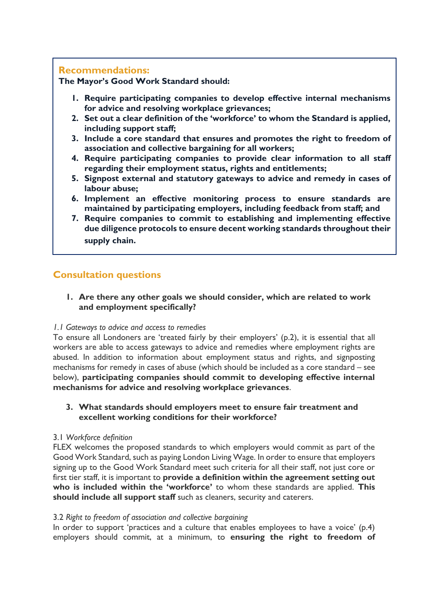# **Recommendations:**

**The Mayor's Good Work Standard should:**

- **1. Require participating companies to develop effective internal mechanisms for advice and resolving workplace grievances;**
- **2. Set out a clear definition of the 'workforce' to whom the Standard is applied, including support staff;**
- **3. Include a core standard that ensures and promotes the right to freedom of association and collective bargaining for all workers;**
- **4. Require participating companies to provide clear information to all staff regarding their employment status, rights and entitlements;**
- **5. Signpost external and statutory gateways to advice and remedy in cases of labour abuse;**
- **6. Implement an effective monitoring process to ensure standards are maintained by participating employers, including feedback from staff; and**
- **7. Require companies to commit to establishing and implementing effective due diligence protocols to ensure decent working standards throughout their supply chain.**

# **Consultation questions**

## **1. Are there any other goals we should consider, which are related to work and employment specifically?**

## *1.1 Gateways to advice and access to remedies*

To ensure all Londoners are 'treated fairly by their employers' (p.2), it is essential that all workers are able to access gateways to advice and remedies where employment rights are abused. In addition to information about employment status and rights, and signposting mechanisms for remedy in cases of abuse (which should be included as a core standard – see below), **participating companies should commit to developing effective internal mechanisms for advice and resolving workplace grievances**.

## **3. What standards should employers meet to ensure fair treatment and excellent working conditions for their workforce?**

## 3.1 *Workforce definition*

FLEX welcomes the proposed standards to which employers would commit as part of the Good Work Standard, such as paying London Living Wage. In order to ensure that employers signing up to the Good Work Standard meet such criteria for all their staff, not just core or first tier staff, it is important to **provide a definition within the agreement setting out who is included within the 'workforce'** to whom these standards are applied. **This should include all support staff** such as cleaners, security and caterers.

# 3.2 *Right to freedom of association and collective bargaining*

In order to support 'practices and a culture that enables employees to have a voice' (p.4) employers should commit, at a minimum, to **ensuring the right to freedom of**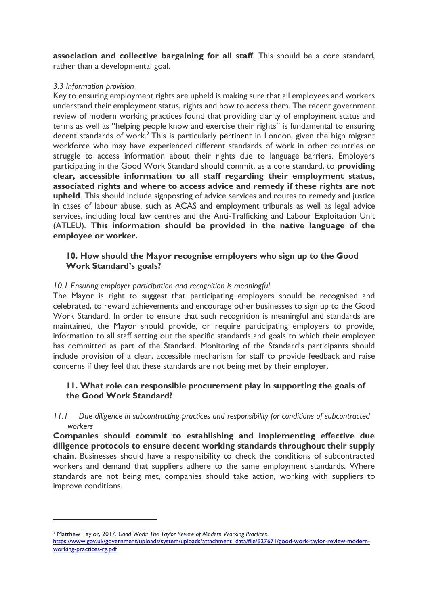**association and collective bargaining for all staff**. This should be a core standard, rather than a developmental goal.

#### 3.3 *Information provision*

Key to ensuring employment rights are upheld is making sure that all employees and workers understand their employment status, rights and how to access them. The recent government review of modern working practices found that providing clarity of employment status and terms as well as "helping people know and exercise their rights" is fundamental to ensuring decent standards of work.<sup>2</sup> This is particularly pertinent in London, given the high migrant workforce who may have experienced different standards of work in other countries or struggle to access information about their rights due to language barriers. Employers participating in the Good Work Standard should commit, as a core standard, to **providing clear, accessible information to all staff regarding their employment status, associated rights and where to access advice and remedy if these rights are not upheld**. This should include signposting of advice services and routes to remedy and justice in cases of labour abuse, such as ACAS and employment tribunals as well as legal advice services, including local law centres and the Anti-Trafficking and Labour Exploitation Unit (ATLEU). **This information should be provided in the native language of the employee or worker.**

#### **10. How should the Mayor recognise employers who sign up to the Good Work Standard's goals?**

## *10.1 Ensuring employer participation and recognition is meaningful*

The Mayor is right to suggest that participating employers should be recognised and celebrated, to reward achievements and encourage other businesses to sign up to the Good Work Standard. In order to ensure that such recognition is meaningful and standards are maintained, the Mayor should provide, or require participating employers to provide, information to all staff setting out the specific standards and goals to which their employer has committed as part of the Standard. Monitoring of the Standard's participants should include provision of a clear, accessible mechanism for staff to provide feedback and raise concerns if they feel that these standards are not being met by their employer.

## **11. What role can responsible procurement play in supporting the goals of the Good Work Standard?**

*11.1 Due diligence in subcontracting practices and responsibility for conditions of subcontracted workers*

**Companies should commit to establishing and implementing effective due diligence protocols to ensure decent working standards throughout their supply chain**. Businesses should have a responsibility to check the conditions of subcontracted workers and demand that suppliers adhere to the same employment standards. Where standards are not being met, companies should take action, working with suppliers to improve conditions.

 $\overline{a}$ 

<sup>2</sup> Matthew Taylor, 2017. *Good Work: The Taylor Review of Modern Working Practices*.

[https://www.gov.uk/government/uploads/system/uploads/attachment\\_data/file/627671/good-work-taylor-review-modern](https://www.gov.uk/government/uploads/system/uploads/attachment_data/file/627671/good-work-taylor-review-modern-working-practices-rg.pdf)[working-practices-rg.pdf](https://www.gov.uk/government/uploads/system/uploads/attachment_data/file/627671/good-work-taylor-review-modern-working-practices-rg.pdf)